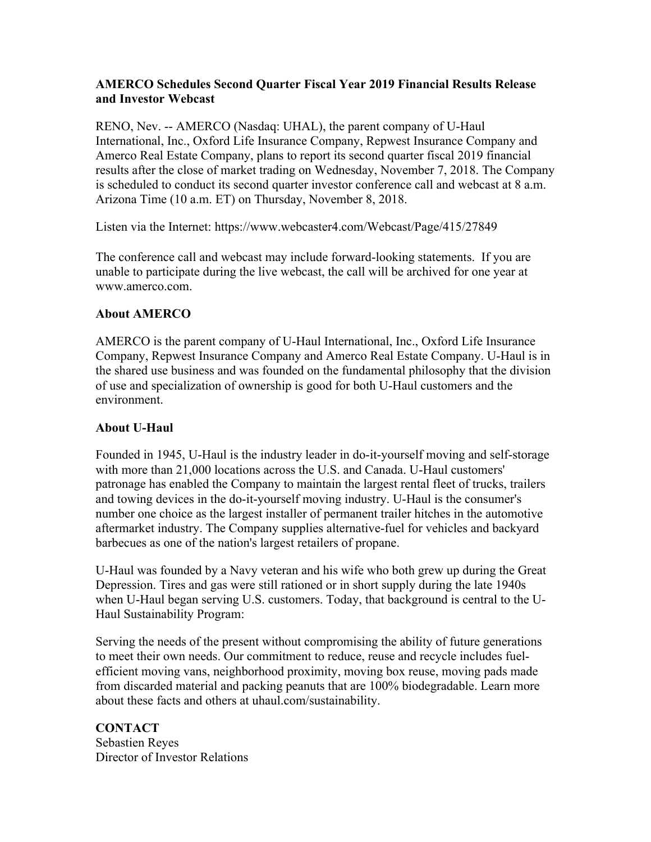## **AMERCO Schedules Second Quarter Fiscal Year 2019 Financial Results Release and Investor Webcast**

RENO, Nev. -- AMERCO (Nasdaq: UHAL), the parent company of U-Haul International, Inc., Oxford Life Insurance Company, Repwest Insurance Company and Amerco Real Estate Company, plans to report its second quarter fiscal 2019 financial results after the close of market trading on Wednesday, November 7, 2018. The Company is scheduled to conduct its second quarter investor conference call and webcast at 8 a.m. Arizona Time (10 a.m. ET) on Thursday, November 8, 2018.

Listen via the Internet: https://www.webcaster4.com/Webcast/Page/415/27849

The conference call and webcast may include forward-looking statements. If you are unable to participate during the live webcast, the call will be archived for one year at www.amerco.com.

## **About AMERCO**

AMERCO is the parent company of U-Haul International, Inc., Oxford Life Insurance Company, Repwest Insurance Company and Amerco Real Estate Company. U-Haul is in the shared use business and was founded on the fundamental philosophy that the division of use and specialization of ownership is good for both U-Haul customers and the environment.

## **About U-Haul**

Founded in 1945, U-Haul is the industry leader in do-it-yourself moving and self-storage with more than 21,000 locations across the U.S. and Canada. U-Haul customers' patronage has enabled the Company to maintain the largest rental fleet of trucks, trailers and towing devices in the do-it-yourself moving industry. U-Haul is the consumer's number one choice as the largest installer of permanent trailer hitches in the automotive aftermarket industry. The Company supplies alternative-fuel for vehicles and backyard barbecues as one of the nation's largest retailers of propane.

U-Haul was founded by a Navy veteran and his wife who both grew up during the Great Depression. Tires and gas were still rationed or in short supply during the late 1940s when U-Haul began serving U.S. customers. Today, that background is central to the U-Haul Sustainability Program:

Serving the needs of the present without compromising the ability of future generations to meet their own needs. Our commitment to reduce, reuse and recycle includes fuelefficient moving vans, neighborhood proximity, moving box reuse, moving pads made from discarded material and packing peanuts that are 100% biodegradable. Learn more about these facts and others at uhaul.com/sustainability.

**CONTACT**  Sebastien Reyes Director of Investor Relations